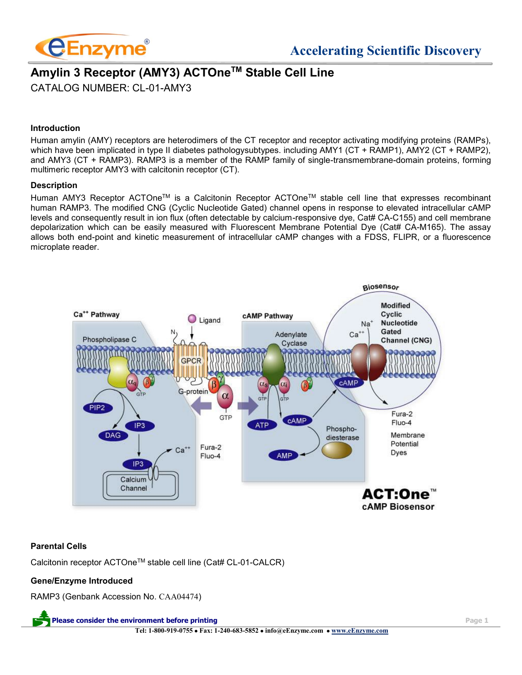

# **Amylin 3 Receptor (AMY3) ACTOneTM Stable Cell Line** CATALOG NUMBER: CL-01-AMY3

#### **Introduction**

Human amylin (AMY) receptors are heterodimers of the CT receptor and receptor activating modifying proteins (RAMPs), which have been implicated in type II diabetes pathologysubtypes. including AMY1 (CT + RAMP1), AMY2 (CT + RAMP2), and AMY3 (CT + RAMP3). RAMP3 is a member of the RAMP family of single-transmembrane-domain proteins, forming multimeric receptor AMY3 with calcitonin receptor (CT).

#### **Description**

Human AMY3 Receptor ACTOneTM is a Calcitonin Receptor ACTOneTM stable cell line that expresses recombinant human RAMP3. The modified CNG (Cyclic Nucleotide Gated) channel opens in response to elevated intracellular cAMP levels and consequently result in ion flux (often detectable by calcium-responsive dye, Cat# CA-C155) and cell membrane depolarization which can be easily measured with Fluorescent Membrane Potential Dye (Cat# CA-M165). The assay allows both end-point and kinetic measurement of intracellular cAMP changes with a FDSS, FLIPR, or a fluorescence microplate reader.



#### **Parental Cells**

Calcitonin receptor ACTOne™ stable cell line (Cat# CL-01-CALCR)

#### **Gene/Enzyme Introduced**

RAMP3 (Genbank Accession No. CAA04474)

**Please consider the environment before printing Page 1 Tel: 1-800-919-0755** • **Fax: 1-240-683-5852** • **info@eEnzyme.com** • **[www.eEnzyme.com](http://www.biomatik.com/)**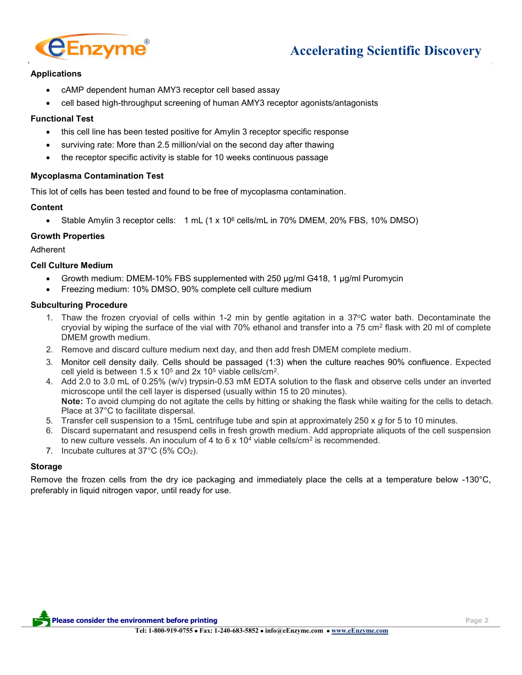

# **Accelerating Scientific Discovery**

### **Applications**

- cAMP dependent human AMY3 receptor cell based assay
- cell based high-throughput screening of human AMY3 receptor agonists/antagonists

#### **Functional Test**

- this cell line has been tested positive for Amylin 3 receptor specific response
- surviving rate: More than 2.5 million/vial on the second day after thawing
- the receptor specific activity is stable for 10 weeks continuous passage

#### **Mycoplasma Contamination Test**

This lot of cells has been tested and found to be free of mycoplasma contamination.

#### **Content**

• Stable Amylin 3 receptor cells: 1 mL (1 x 10<sup>6</sup> cells/mL in 70% DMEM, 20% FBS, 10% DMSO)

#### **Growth Properties**

Adherent

#### **Cell Culture Medium**

- Growth medium: DMEM-10% FBS supplemented with 250 µg/ml G418, 1 µg/ml Puromycin
- Freezing medium: 10% DMSO, 90% complete cell culture medium

#### **Subculturing Procedure**

- 1. Thaw the frozen cryovial of cells within 1-2 min by gentle agitation in a 37°C water bath. Decontaminate the cryovial by wiping the surface of the vial with 70% ethanol and transfer into a 75 cm<sup>2</sup> flask with 20 ml of complete DMEM growth medium.
- 2. Remove and discard culture medium next day, and then add fresh DMEM complete medium.
- 3. Monitor cell density daily. Cells should be passaged (1:3) when the culture reaches 90% confluence. Expected cell yield is between  $1.5 \times 10^5$  and  $2x 10^5$  viable cells/cm<sup>2</sup>.
- 4. Add 2.0 to 3.0 mL of 0.25% (w/v) trypsin-0.53 mM EDTA solution to the flask and observe cells under an inverted microscope until the cell layer is dispersed (usually within 15 to 20 minutes). **Note:** To avoid clumping do not agitate the cells by hitting or shaking the flask while waiting for the cells to detach. Place at 37°C to facilitate dispersal.
- 5. Transfer cell suspension to a 15mL centrifuge tube and spin at approximately 250 x *g* for 5 to 10 minutes.
- 6. Discard supernatant and resuspend cells in fresh growth medium. Add appropriate aliquots of the cell suspension to new culture vessels. An inoculum of 4 to 6 x 10<sup>4</sup> viable cells/cm<sup>2</sup> is recommended.
- 7. Incubate cultures at 37°C (5% CO2).

#### **Storage**

Remove the frozen cells from the dry ice packaging and immediately place the cells at a temperature below -130°C, preferably in liquid nitrogen vapor, until ready for use.